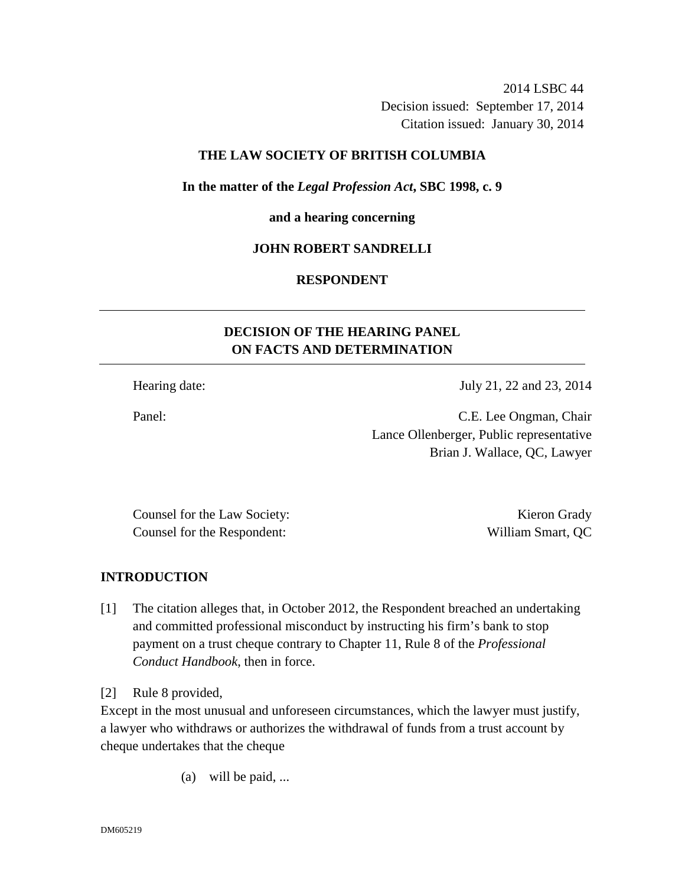2014 LSBC 44 Decision issued: September 17, 2014 Citation issued: January 30, 2014

## **THE LAW SOCIETY OF BRITISH COLUMBIA**

**In the matter of the** *Legal Profession Act***, SBC 1998, c. 9** 

**and a hearing concerning** 

#### **JOHN ROBERT SANDRELLI**

## **RESPONDENT**

# **DECISION OF THE HEARING PANEL ON FACTS AND DETERMINATION**

Hearing date: July 21, 22 and 23, 2014

Panel: C.E. Lee Ongman, Chair Lance Ollenberger, Public representative Brian J. Wallace, QC, Lawyer

Counsel for the Law Society: The Counsel of the Law Society: The Counsel of the Counsel of the Counsel of the Counsel of the Counsel of the Counsel of the Counsel of the Counsel of the Counsel of the Counsel of the Counsel Counsel for the Respondent: William Smart, QC

#### **INTRODUCTION**

[1] The citation alleges that, in October 2012, the Respondent breached an undertaking and committed professional misconduct by instructing his firm's bank to stop payment on a trust cheque contrary to Chapter 11, Rule 8 of the *Professional Conduct Handbook*, then in force.

[2] Rule 8 provided,

Except in the most unusual and unforeseen circumstances, which the lawyer must justify, a lawyer who withdraws or authorizes the withdrawal of funds from a trust account by cheque undertakes that the cheque

(a) will be paid, ...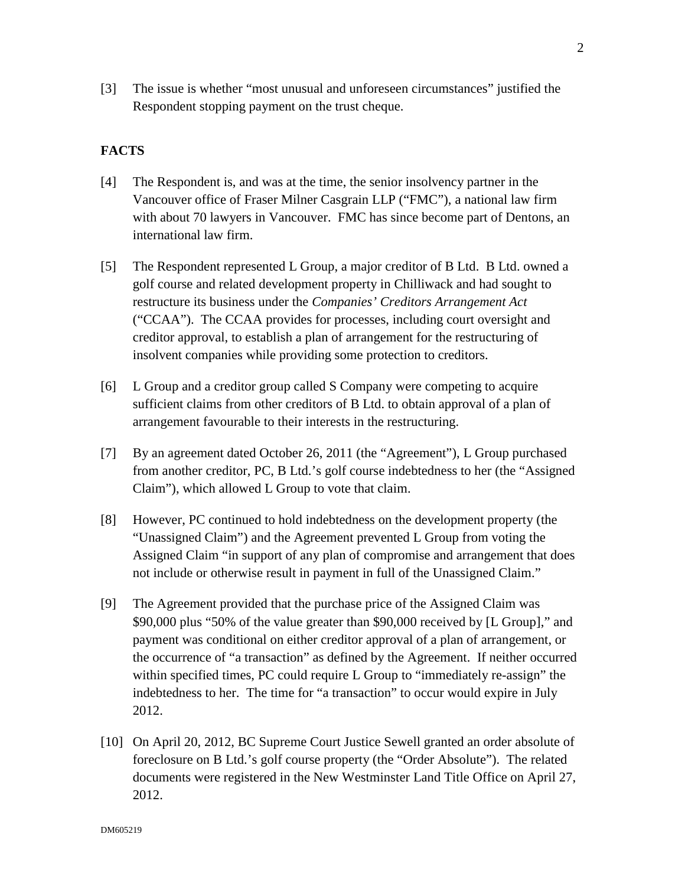[3] The issue is whether "most unusual and unforeseen circumstances" justified the Respondent stopping payment on the trust cheque.

# **FACTS**

- [4] The Respondent is, and was at the time, the senior insolvency partner in the Vancouver office of Fraser Milner Casgrain LLP ("FMC"), a national law firm with about 70 lawyers in Vancouver. FMC has since become part of Dentons, an international law firm.
- [5] The Respondent represented L Group, a major creditor of B Ltd. B Ltd. owned a golf course and related development property in Chilliwack and had sought to restructure its business under the *Companies' Creditors Arrangement Act* ("CCAA"). The CCAA provides for processes, including court oversight and creditor approval, to establish a plan of arrangement for the restructuring of insolvent companies while providing some protection to creditors.
- [6] L Group and a creditor group called S Company were competing to acquire sufficient claims from other creditors of B Ltd. to obtain approval of a plan of arrangement favourable to their interests in the restructuring.
- [7] By an agreement dated October 26, 2011 (the "Agreement"), L Group purchased from another creditor, PC, B Ltd.'s golf course indebtedness to her (the "Assigned Claim"), which allowed L Group to vote that claim.
- [8] However, PC continued to hold indebtedness on the development property (the "Unassigned Claim") and the Agreement prevented L Group from voting the Assigned Claim "in support of any plan of compromise and arrangement that does not include or otherwise result in payment in full of the Unassigned Claim."
- [9] The Agreement provided that the purchase price of the Assigned Claim was \$90,000 plus "50% of the value greater than \$90,000 received by [L Group]," and payment was conditional on either creditor approval of a plan of arrangement, or the occurrence of "a transaction" as defined by the Agreement. If neither occurred within specified times, PC could require L Group to "immediately re-assign" the indebtedness to her. The time for "a transaction" to occur would expire in July 2012.
- [10] On April 20, 2012, BC Supreme Court Justice Sewell granted an order absolute of foreclosure on B Ltd.'s golf course property (the "Order Absolute"). The related documents were registered in the New Westminster Land Title Office on April 27, 2012.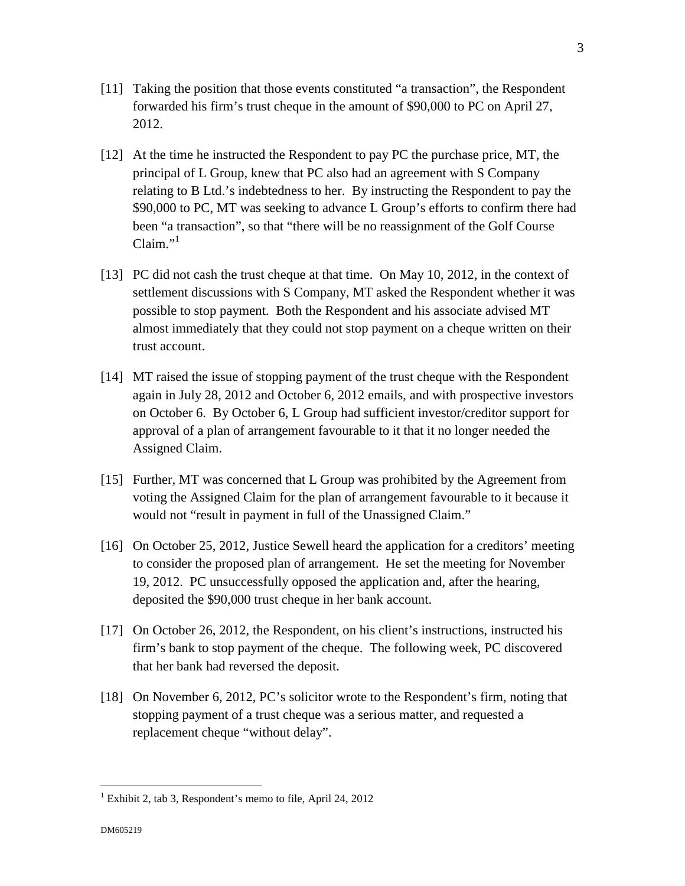- [11] Taking the position that those events constituted "a transaction", the Respondent forwarded his firm's trust cheque in the amount of \$90,000 to PC on April 27, 2012.
- [12] At the time he instructed the Respondent to pay PC the purchase price, MT, the principal of L Group, knew that PC also had an agreement with S Company relating to B Ltd.'s indebtedness to her. By instructing the Respondent to pay the \$90,000 to PC, MT was seeking to advance L Group's efforts to confirm there had been "a transaction", so that "there will be no reassignment of the Golf Course  $Claim<sup>1</sup>$
- [13] PC did not cash the trust cheque at that time. On May 10, 2012, in the context of settlement discussions with S Company, MT asked the Respondent whether it was possible to stop payment. Both the Respondent and his associate advised MT almost immediately that they could not stop payment on a cheque written on their trust account.
- [14] MT raised the issue of stopping payment of the trust cheque with the Respondent again in July 28, 2012 and October 6, 2012 emails, and with prospective investors on October 6. By October 6, L Group had sufficient investor/creditor support for approval of a plan of arrangement favourable to it that it no longer needed the Assigned Claim.
- [15] Further, MT was concerned that L Group was prohibited by the Agreement from voting the Assigned Claim for the plan of arrangement favourable to it because it would not "result in payment in full of the Unassigned Claim."
- [16] On October 25, 2012, Justice Sewell heard the application for a creditors' meeting to consider the proposed plan of arrangement. He set the meeting for November 19, 2012. PC unsuccessfully opposed the application and, after the hearing, deposited the \$90,000 trust cheque in her bank account.
- [17] On October 26, 2012, the Respondent, on his client's instructions, instructed his firm's bank to stop payment of the cheque. The following week, PC discovered that her bank had reversed the deposit.
- [18] On November 6, 2012, PC's solicitor wrote to the Respondent's firm, noting that stopping payment of a trust cheque was a serious matter, and requested a replacement cheque "without delay".

<u>.</u>

<sup>&</sup>lt;sup>1</sup> Exhibit 2, tab 3, Respondent's memo to file, April 24, 2012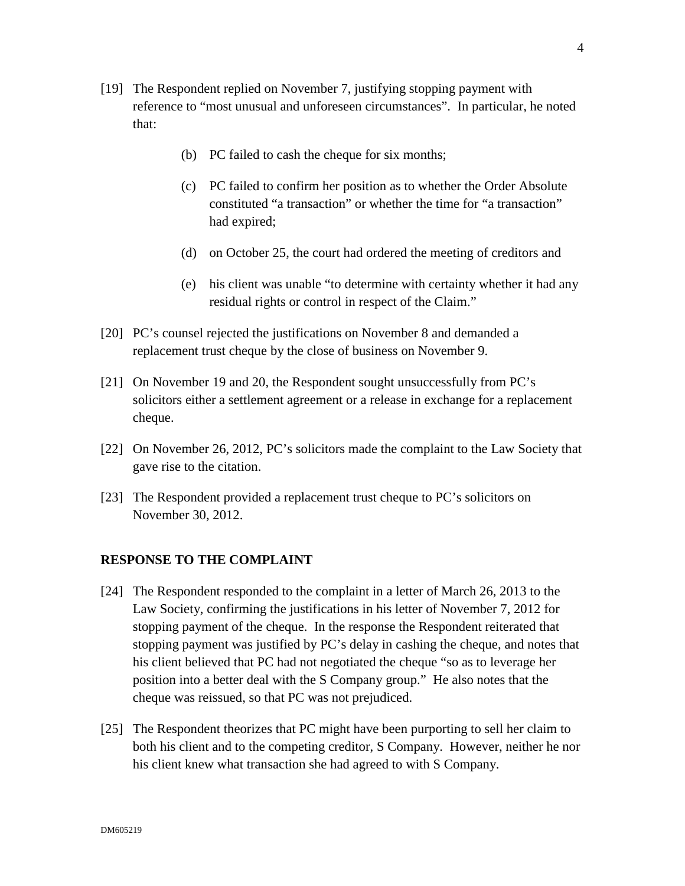- [19] The Respondent replied on November 7, justifying stopping payment with reference to "most unusual and unforeseen circumstances". In particular, he noted that:
	- (b) PC failed to cash the cheque for six months;
	- (c) PC failed to confirm her position as to whether the Order Absolute constituted "a transaction" or whether the time for "a transaction" had expired;
	- (d) on October 25, the court had ordered the meeting of creditors and
	- (e) his client was unable "to determine with certainty whether it had any residual rights or control in respect of the Claim."
- [20] PC's counsel rejected the justifications on November 8 and demanded a replacement trust cheque by the close of business on November 9.
- [21] On November 19 and 20, the Respondent sought unsuccessfully from PC's solicitors either a settlement agreement or a release in exchange for a replacement cheque.
- [22] On November 26, 2012, PC's solicitors made the complaint to the Law Society that gave rise to the citation.
- [23] The Respondent provided a replacement trust cheque to PC's solicitors on November 30, 2012.

# **RESPONSE TO THE COMPLAINT**

- [24] The Respondent responded to the complaint in a letter of March 26, 2013 to the Law Society, confirming the justifications in his letter of November 7, 2012 for stopping payment of the cheque. In the response the Respondent reiterated that stopping payment was justified by PC's delay in cashing the cheque, and notes that his client believed that PC had not negotiated the cheque "so as to leverage her position into a better deal with the S Company group." He also notes that the cheque was reissued, so that PC was not prejudiced.
- [25] The Respondent theorizes that PC might have been purporting to sell her claim to both his client and to the competing creditor, S Company. However, neither he nor his client knew what transaction she had agreed to with S Company.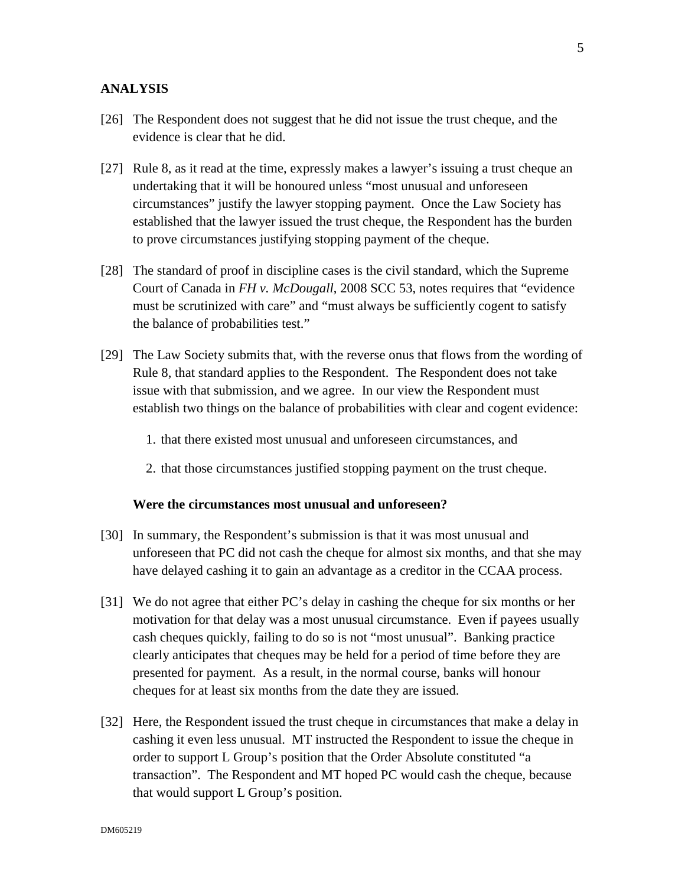## **ANALYSIS**

- [26] The Respondent does not suggest that he did not issue the trust cheque, and the evidence is clear that he did.
- [27] Rule 8, as it read at the time, expressly makes a lawyer's issuing a trust cheque an undertaking that it will be honoured unless "most unusual and unforeseen circumstances" justify the lawyer stopping payment. Once the Law Society has established that the lawyer issued the trust cheque, the Respondent has the burden to prove circumstances justifying stopping payment of the cheque.
- [28] The standard of proof in discipline cases is the civil standard, which the Supreme Court of Canada in *FH v. McDougall*, 2008 SCC 53, notes requires that "evidence must be scrutinized with care" and "must always be sufficiently cogent to satisfy the balance of probabilities test."
- [29] The Law Society submits that, with the reverse onus that flows from the wording of Rule 8, that standard applies to the Respondent. The Respondent does not take issue with that submission, and we agree. In our view the Respondent must establish two things on the balance of probabilities with clear and cogent evidence:
	- 1. that there existed most unusual and unforeseen circumstances, and
	- 2. that those circumstances justified stopping payment on the trust cheque.

#### **Were the circumstances most unusual and unforeseen?**

- [30] In summary, the Respondent's submission is that it was most unusual and unforeseen that PC did not cash the cheque for almost six months, and that she may have delayed cashing it to gain an advantage as a creditor in the CCAA process.
- [31] We do not agree that either PC's delay in cashing the cheque for six months or her motivation for that delay was a most unusual circumstance. Even if payees usually cash cheques quickly, failing to do so is not "most unusual". Banking practice clearly anticipates that cheques may be held for a period of time before they are presented for payment. As a result, in the normal course, banks will honour cheques for at least six months from the date they are issued.
- [32] Here, the Respondent issued the trust cheque in circumstances that make a delay in cashing it even less unusual. MT instructed the Respondent to issue the cheque in order to support L Group's position that the Order Absolute constituted "a transaction". The Respondent and MT hoped PC would cash the cheque, because that would support L Group's position.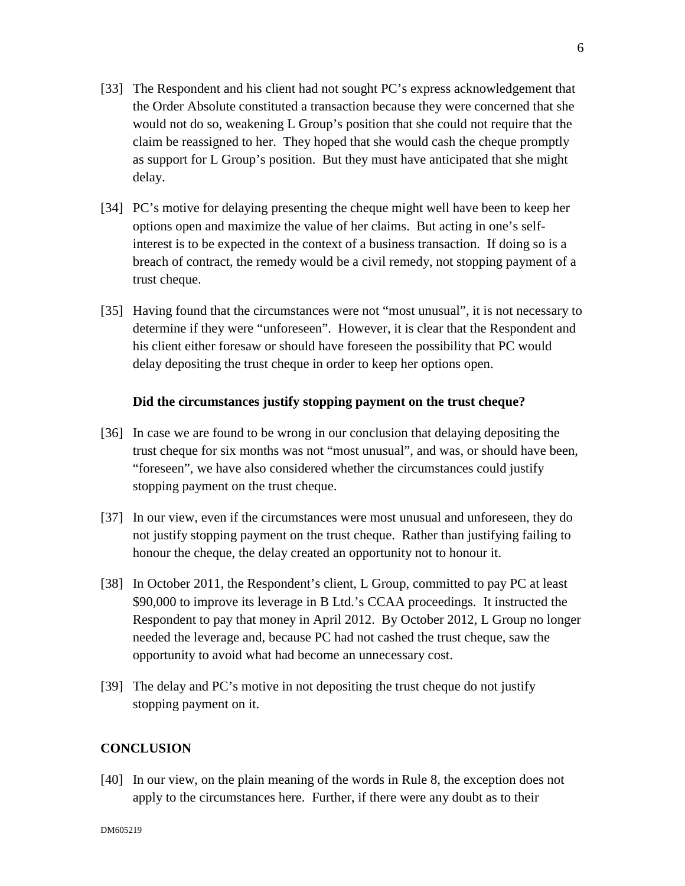- [33] The Respondent and his client had not sought PC's express acknowledgement that the Order Absolute constituted a transaction because they were concerned that she would not do so, weakening L Group's position that she could not require that the claim be reassigned to her. They hoped that she would cash the cheque promptly as support for L Group's position. But they must have anticipated that she might delay.
- [34] PC's motive for delaying presenting the cheque might well have been to keep her options open and maximize the value of her claims. But acting in one's selfinterest is to be expected in the context of a business transaction. If doing so is a breach of contract, the remedy would be a civil remedy, not stopping payment of a trust cheque.
- [35] Having found that the circumstances were not "most unusual", it is not necessary to determine if they were "unforeseen". However, it is clear that the Respondent and his client either foresaw or should have foreseen the possibility that PC would delay depositing the trust cheque in order to keep her options open.

## **Did the circumstances justify stopping payment on the trust cheque?**

- [36] In case we are found to be wrong in our conclusion that delaying depositing the trust cheque for six months was not "most unusual", and was, or should have been, "foreseen", we have also considered whether the circumstances could justify stopping payment on the trust cheque.
- [37] In our view, even if the circumstances were most unusual and unforeseen, they do not justify stopping payment on the trust cheque. Rather than justifying failing to honour the cheque, the delay created an opportunity not to honour it.
- [38] In October 2011, the Respondent's client, L Group, committed to pay PC at least \$90,000 to improve its leverage in B Ltd.'s CCAA proceedings. It instructed the Respondent to pay that money in April 2012. By October 2012, L Group no longer needed the leverage and, because PC had not cashed the trust cheque, saw the opportunity to avoid what had become an unnecessary cost.
- [39] The delay and PC's motive in not depositing the trust cheque do not justify stopping payment on it.

# **CONCLUSION**

[40] In our view, on the plain meaning of the words in Rule 8, the exception does not apply to the circumstances here. Further, if there were any doubt as to their